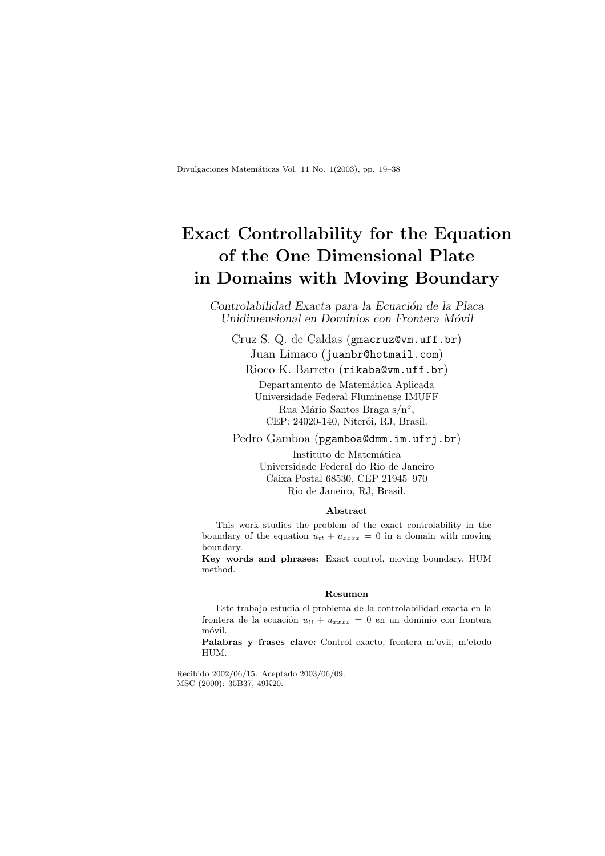Divulgaciones Matemáticas Vol. 11 No. 1(2003), pp. 19–38

# Exact Controllability for the Equation of the One Dimensional Plate in Domains with Moving Boundary

Controlabilidad Exacta para la Ecuación de la Placa Unidimensional en Dominios con Frontera Móvil

Cruz S. Q. de Caldas (gmacruz@vm.uff.br) Juan Limaco (juanbr@hotmail.com) Rioco K. Barreto (rikaba@vm.uff.br)

> Departamento de Matemática Aplicada Universidade Federal Fluminense IMUFF Rua Mário Santos Braga s/nº, CEP: 24020-140, Niterói, RJ, Brasil.

Pedro Gamboa (pgamboa@dmm.im.ufrj.br)

Instituto de Matemática Universidade Federal do Rio de Janeiro Caixa Postal 68530, CEP 21945–970 Rio de Janeiro, RJ, Brasil.

#### Abstract

This work studies the problem of the exact controlability in the boundary of the equation  $u_{tt} + u_{xxxx} = 0$  in a domain with moving boundary.

Key words and phrases: Exact control, moving boundary, HUM method.

#### Resumen

Este trabajo estudia el problema de la controlabilidad exacta en la frontera de la ecuación  $u_{tt} + u_{xxxx} = 0$  en un dominio con frontera móvil.

Palabras y frases clave: Control exacto, frontera m'ovil, m'etodo HUM.

Recibido 2002/06/15. Aceptado 2003/06/09. MSC (2000): 35B37, 49K20.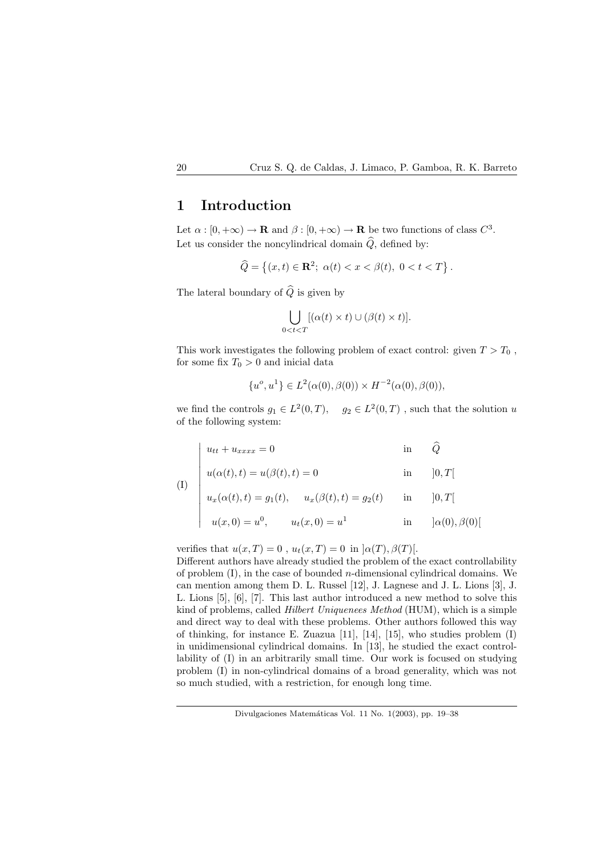## 1 Introduction

Let  $\alpha : [0, +\infty) \to \mathbf{R}$  and  $\beta : [0, +\infty) \to \mathbf{R}$  be two functions of class  $C^3$ . Let us consider the noncylindrical domain  $\widehat{Q}$ , defined by:

$$
\widehat{Q} = \left\{ (x, t) \in \mathbf{R}^2; \ \alpha(t) < x < \beta(t), \ 0 < t < T \right\}.
$$

The lateral boundary of  $\widehat{Q}$  is given by

$$
\bigcup_{0
$$

This work investigates the following problem of exact control: given  $T > T_0$ , for some fix  $T_0 > 0$  and inicial data

$$
\{u^o, u^1\} \in L^2(\alpha(0), \beta(0)) \times H^{-2}(\alpha(0), \beta(0)),
$$

we find the controls  $g_1 \in L^2(0,T)$ ,  $g_2 \in L^2(0,T)$ , such that the solution u of the following system:

$$
u_{tt} + u_{xxxx} = 0 \qquad \qquad \text{in} \qquad \widehat{Q}
$$

$$
u(\alpha(t),t) = u(\beta(t),t) = 0
$$
 in  $[0,T[$ 

(I)

 $\overline{a}$  $\begin{array}{c} \hline \end{array}$  $\overline{\phantom{a}}$  $\overline{\phantom{a}}$ 

 $\overline{\phantom{a}}$  $\overline{\phantom{a}}$  $\overline{\phantom{a}}$  $\overline{\phantom{a}}$  $\overline{\phantom{a}}$ 

$$
u_x(\alpha(t), t) = a(\beta(t), t) = 0 \quad \text{in} \quad [0, 1]
$$
  

$$
u_x(\alpha(t), t) = g_1(t), \quad u_x(\beta(t), t) = g_2(t) \quad \text{in} \quad [0, T]
$$
  

$$
u(x, 0) = u^0, \quad u_t(x, 0) = u^1 \quad \text{in} \quad [\alpha(0), \beta(0)]
$$

verifies that  $u(x,T) = 0$ ,  $u_t(x,T) = 0$  in  $\alpha(T), \beta(T)$ [.

Different authors have already studied the problem of the exact controllability of problem  $(I)$ , in the case of bounded *n*-dimensional cylindrical domains. We can mention among them D. L. Russel [12], J. Lagnese and J. L. Lions [3], J. L. Lions [5], [6], [7]. This last author introduced a new method to solve this kind of problems, called Hilbert Uniquenees Method (HUM), which is a simple and direct way to deal with these problems. Other authors followed this way of thinking, for instance E. Zuazua [11], [14], [15], who studies problem (I) in unidimensional cylindrical domains. In [13], he studied the exact controllability of (I) in an arbitrarily small time. Our work is focused on studying problem (I) in non-cylindrical domains of a broad generality, which was not so much studied, with a restriction, for enough long time.

Divulgaciones Matemáticas Vol. 11 No. 1(2003), pp. 19–38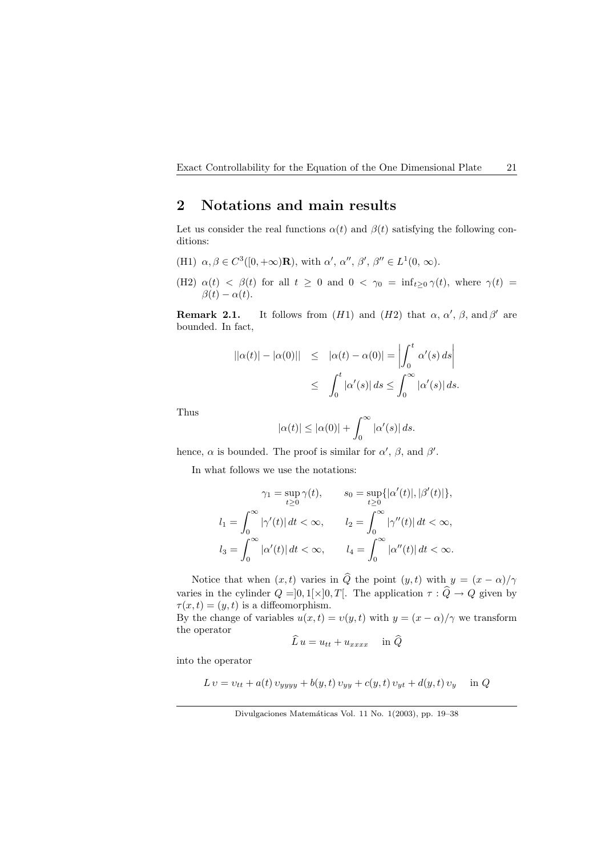## 2 Notations and main results

Let us consider the real functions  $\alpha(t)$  and  $\beta(t)$  satisfying the following conditions:

- (H1)  $\alpha, \beta \in C^3([0, +\infty) \mathbf{R})$ , with  $\alpha', \alpha'', \beta', \beta'' \in L^1(0, \infty)$ .
- (H2)  $\alpha(t) < \beta(t)$  for all  $t \geq 0$  and  $0 < \gamma_0 = \inf_{t \geq 0} \gamma(t)$ , where  $\gamma(t) =$  $\beta(t) - \alpha(t)$ .

**Remark 2.1.** It follows from  $(H1)$  and  $(H2)$  that  $\alpha$ ,  $\alpha'$ ,  $\beta$ , and  $\beta'$  are bounded. In fact,

$$
||\alpha(t)| - |\alpha(0)|| \leq |\alpha(t) - \alpha(0)| = \left| \int_0^t \alpha'(s) ds \right|
$$
  

$$
\leq \int_0^t |\alpha'(s)| ds \leq \int_0^\infty |\alpha'(s)| ds.
$$

Thus

$$
|\alpha(t)| \le |\alpha(0)| + \int_0^\infty |\alpha'(s)| ds.
$$

hence,  $\alpha$  is bounded. The proof is similar for  $\alpha'$ ,  $\beta$ , and  $\beta'$ .

In what follows we use the notations:

$$
\gamma_1 = \sup_{t \ge 0} \gamma(t), \qquad s_0 = \sup_{t \ge 0} \{ |\alpha'(t)|, |\beta'(t)| \},
$$
  

$$
l_1 = \int_0^\infty |\gamma'(t)| dt < \infty, \qquad l_2 = \int_0^\infty |\gamma''(t)| dt < \infty,
$$
  

$$
l_3 = \int_0^\infty |\alpha'(t)| dt < \infty, \qquad l_4 = \int_0^\infty |\alpha''(t)| dt < \infty.
$$

Notice that when  $(x, t)$  varies in  $\widehat{Q}$  the point  $(y, t)$  with  $y = (x - \alpha)/\gamma$ varies in the cylinder  $Q = ]0,1[\times]0,T[$ . The application  $\tau : \widehat{Q} \to Q$  given by  $\tau(x,t) = (y,t)$  is a diffeomorphism. By the change of variables  $u(x,t) = v(y,t)$  with  $y = (x - \alpha)/\gamma$  we transform

the operator

$$
\widehat{L}\,u = u_{tt} + u_{xxxx} \quad \text{in } \widehat{Q}
$$

into the operator

$$
L v = v_{tt} + a(t) v_{yyy} + b(y, t) v_{yy} + c(y, t) v_{yt} + d(y, t) v_y \text{ in } Q
$$

Divulgaciones Matemáticas Vol. 11 No. 1(2003), pp. 19-38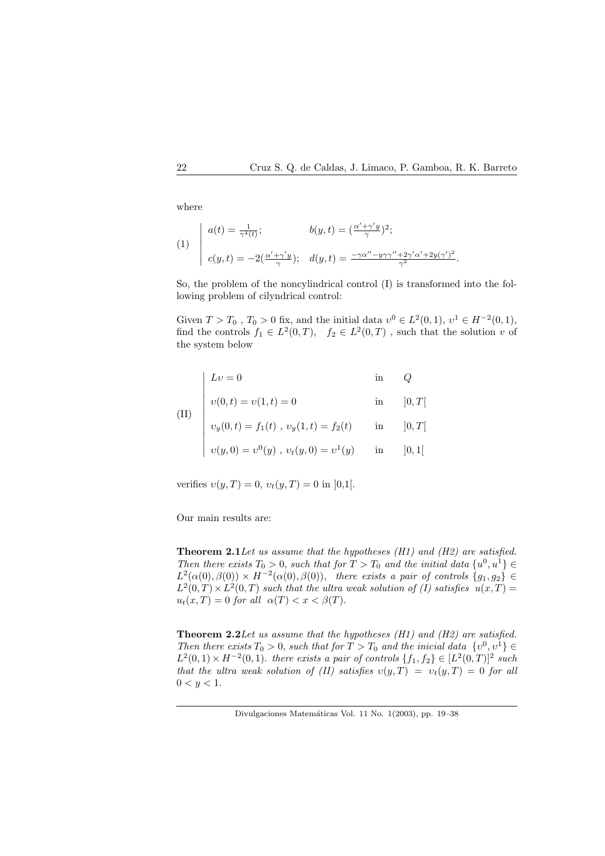where

(1) 
$$
\begin{aligned}\na(t) &= \frac{1}{\gamma^4(t)}; & b(y,t) &= (\frac{\alpha' + \gamma' y}{\gamma})^2; \\
c(y,t) &= -2(\frac{\alpha' + \gamma' y}{\gamma}); & d(y,t) &= \frac{-\gamma \alpha'' - y\gamma \gamma'' + 2\gamma' \alpha' + 2y(\gamma')^2}{\gamma^2}.\n\end{aligned}
$$

So, the problem of the noncylindrical control (I) is transformed into the following problem of cilyndrical control:

Given  $T > T_0$ ,  $T_0 > 0$  fix, and the initial data  $v^0 \in L^2(0,1)$ ,  $v^1 \in H^{-2}(0,1)$ , find the controls  $f_1 \in L^2(0,T)$ ,  $f_2 \in L^2(0,T)$ , such that the solution v of the system below

|  | $\begin{array}{l} \displaystyle \text{(II)}\\ \\ \displaystyle (U) \begin{array}{c} \displaystyle \begin{array}{ c} \displaystyle L v = 0 \qquad \qquad & \mbox{in} \qquad Q\\ \\ \displaystyle v(0,t) = v(1,t) = 0 \qquad \qquad & \mbox{in} \quad & \mbox{[0,T[} \\ \\ \displaystyle v_y(0,t) = f_1(t) \ , \ v_y(1,t) = f_2(t) \qquad \mbox{in} \quad & \mbox{[0,T[} \\ \\ \displaystyle v(y,0) = v^0(y) \ , \ v_t(y,0) = v^1(y) \qquad \mbox{in} \quad & \mbox{[0,1[} \end{array$ |  |
|--|--------------------------------------------------------------------------------------------------------------------------------------------------------------------------------------------------------------------------------------------------------------------------------------------------------------------------------------------------------------------------------------------------------------------------------------------------------------------------------------|--|

verifies  $v(y,T) = 0$ ,  $v_t(y,T) = 0$  in [0,1].

Our main results are:

**Theorem 2.1** Let us assume that the hypotheses  $(H1)$  and  $(H2)$  are satisfied. Then there exists  $T_0 > 0$ , such that for  $T > T_0$  and the initial data  $\{u^0, u^1\} \in$  $L^2(\alpha(0), \beta(0)) \times H^{-2}(\alpha(0), \beta(0)),$  there exists a pair of controls  $\{g_1, g_2\} \in$  $L^2(0,T) \times L^2(0,T)$  such that the ultra weak solution of (I) satisfies  $u(x,T) =$  $u_t(x,T) = 0$  for all  $\alpha(T) < x < \beta(T)$ .

Theorem 2.2Let us assume that the hypotheses (H1) and (H2) are satisfied. Then there exists  $T_0 > 0$ , such that for  $T > T_0$  and the inicial data  $\{v^0, v^1\} \in$  $L^2(0,1) \times H^{-2}(0,1)$ . there exists a pair of controls  $\{f_1, f_2\} \in [L^2(0,T)]^2$  such that the ultra weak solution of (II) satisfies  $v(y,T) = v_t(y,T) = 0$  for all  $0 < y < 1.$ 

Divulgaciones Matemáticas Vol. 11 No. 1(2003), pp. 19–38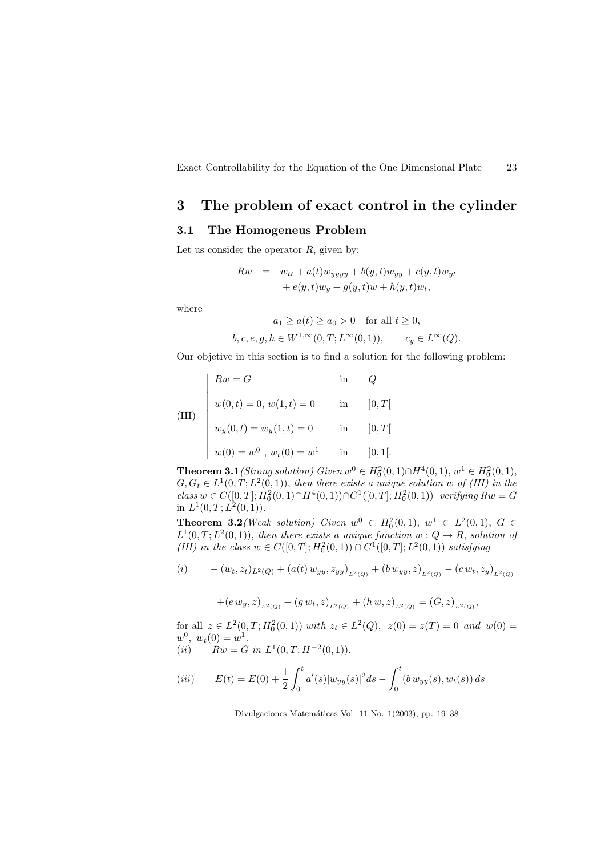## 3 The problem of exact control in the cylinder

## 3.1 The Homogeneus Problem

Let us consider the operator  $R$ , given by:

$$
Rw = w_{tt} + a(t)w_{yyy} + b(y, t)w_{yy} + c(y, t)w_{yt}
$$

$$
+ e(y, t)w_y + g(y, t)w + h(y, t)w_t,
$$

where

$$
a_1 \ge a(t) \ge a_0 > 0 \quad \text{for all } t \ge 0,
$$
  

$$
b, c, e, g, h \in W^{1, \infty}(0, T; L^{\infty}(0, 1)), \qquad c_y \in L^{\infty}(Q).
$$

Our objetive in this section is to find a solution for the following problem:

(III)  
\n
$$
\begin{cases}\nRw = G & \text{in} \quad Q \\
w(0, t) = 0, w(1, t) = 0 & \text{in} \quad [0, T[ \\
w_y(0, t) = w_y(1, t) = 0 & \text{in} \quad [0, T[ \\
w(0) = w^0, w_t(0) = w^1 & \text{in} \quad [0, 1[.\n\end{cases}
$$

**Theorem 3.1** (Strong solution) Given  $w^0 \in H_0^2(0,1) \cap H^4(0,1)$ ,  $w^1 \in H_0^2(0,1)$ ,  $G, G_t \in L^1(0,T; L^2(0,1)),$  then there exists a unique solution w of (III) in the  $class\ w\in C([0,T];H_0^2(0,1)\cap H^4(0,1))\cap C^1([0,T];H_0^2(0,1))$  verifying  $Rw=G$ in  $L^1(0,T; L^2(0,1))$ .

**Theorem 3.2** (Weak solution) Given  $w^0 \in H_0^2(0,1)$ ,  $w^1 \in L^2(0,1)$ ,  $G \in$  $L^1(0,T;L^2(0,1))$ , then there exists a unique function  $w:Q\to R$ , solution of (III) in the class  $w \in C([0, T]; H_0^2(0, 1)) \cap C^1([0, T]; L^2(0, 1))$  satisfying

$$
(i) \qquad - (w_t, z_t)_{L^2(Q)} + (a(t) w_{yy}, z_{yy})_{L^2(Q)} + (b w_{yy}, z)_{L^2(Q)} - (c w_t, z_y)_{L^2(Q)}
$$

 $+(e\,w_y,z)_{L^2(Q)} + (g\,w_t,z)_{L^2(Q)} + (h\,w,z)_{L^2(Q)} = (G,z)_{L^2(Q)},$ 

for all  $z \in L^2(0,T; H_0^2(0,1))$  with  $z_t \in L^2(Q)$ ,  $z(0) = z(T) = 0$  and  $w(0) = 0$  $w^0, w_t(0) = w^1.$ 

(*ii*)  $Rw = G$  in  $L^1(0,T;H^{-2}(0,1)).$ 

$$
(iii) \t E(t) = E(0) + \frac{1}{2} \int_0^t a'(s) |w_{yy}(s)|^2 ds - \int_0^t (b \, w_{yy}(s), w_t(s)) ds
$$

Divulgaciones Matemáticas Vol. 11 No. 1(2003), pp. 19–38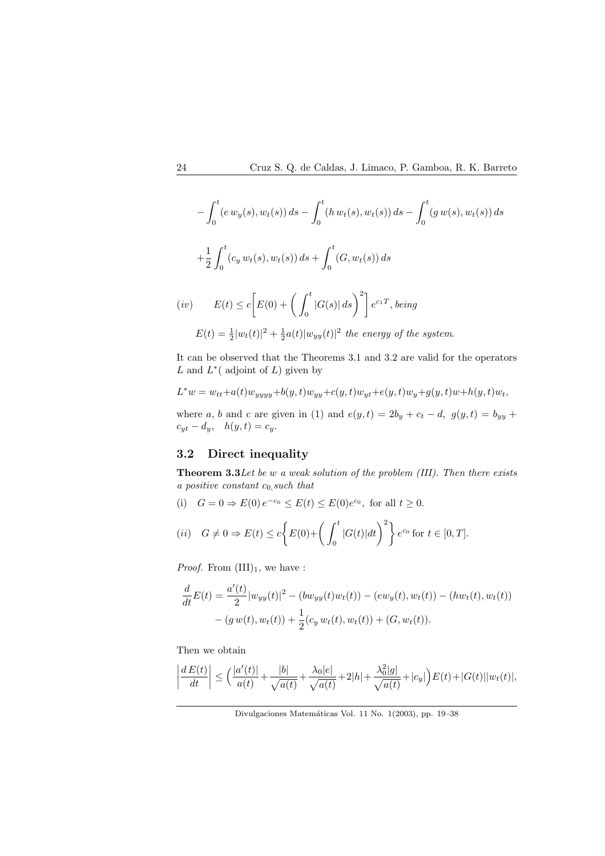$$
-\int_0^t (e w_y(s), w_t(s)) ds - \int_0^t (h w_t(s), w_t(s)) ds - \int_0^t (g w(s), w_t(s)) ds
$$
  
+
$$
\frac{1}{2} \int_0^t (c_y w_t(s), w_t(s)) ds + \int_0^t (G, w_t(s)) ds
$$
  
(iv) 
$$
E(t) \le c \Big[E(0) + \Big(\int_0^t |G(s)| ds\Big)^2\Big] e^{c_1 T}, being
$$
  

$$
E(t) = \frac{1}{2} |w_t(t)|^2 + \frac{1}{2} a(t) |w_{yy}(t)|^2 \text{ the energy of the system.}
$$

It can be observed that the Theorems 3.1 and 3.2 are valid for the operators L and  $L^*$  (adjoint of L) given by

$$
L^{\ast}w=w_{tt}+a(t)w_{yyyy}+b(y,t)w_{yy}+c(y,t)w_{yt}+e(y,t)w_y+g(y,t)w+h(y,t)w_t,
$$

where a, b and c are given in (1) and  $e(y, t) = 2b_y + c_t - d$ ,  $g(y, t) = b_{yy} + d$  $c_{yt} - d_y$ ,  $h(y, t) = c_y$ .

## 3.2 Direct inequality

Theorem 3.3 Let be w a weak solution of the problem (III). Then there exists a positive constant  $c_0$  such that

(i)  $G = 0 \Rightarrow E(0) e^{-c_0} \le E(t) \le E(0) e^{c_0}$ , for all  $t \ge 0$ .

(ii) 
$$
G \neq 0 \Rightarrow E(t) \le c \left\{ E(0) + \left( \int_0^t |G(t)| dt \right)^2 \right\} e^{c_0}
$$
 for  $t \in [0, T]$ .

*Proof.* From  $(III)_1$ , we have :

$$
\frac{d}{dt}E(t) = \frac{a'(t)}{2}|w_{yy}(t)|^2 - (bw_{yy}(t)w_t(t)) - (ew_y(t), w_t(t)) - (hw_t(t), w_t(t))
$$

$$
- (g w(t), w_t(t)) + \frac{1}{2}(c_y w_t(t), w_t(t)) + (G, w_t(t)).
$$

Then we obtain

$$
\left|\frac{d\,E(t)}{dt}\right|\leq\Big(\frac{|a'(t)|}{a(t)}+\frac{|b|}{\sqrt{a(t)}}+\frac{\lambda_0|e|}{\sqrt{a(t)}}+2|h|+\frac{\lambda_0^2|g|}{\sqrt{a(t)}}+|c_y|\Big)E(t)+|G(t)||w_t(t)|,
$$

Divulgaciones Matemáticas Vol. 11 No. 1(2003), pp. 19–38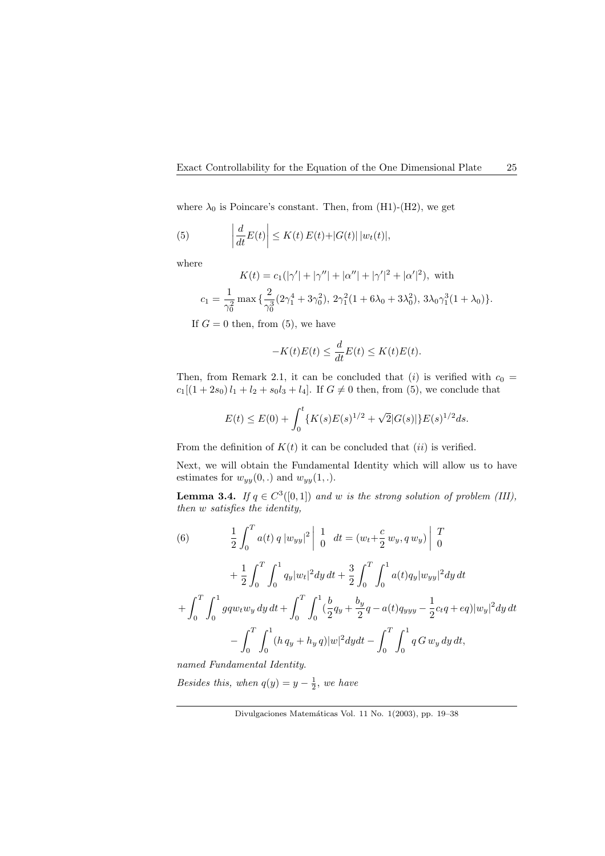where  $\lambda_0$  is Poincare's constant. Then, from (H1)-(H2), we get

(5) 
$$
\left|\frac{d}{dt}E(t)\right| \leq K(t) E(t) + |G(t)| |w_t(t)|,
$$

where

$$
K(t) = c_1(|\gamma'| + |\gamma''| + |\alpha''| + |\gamma'|^2 + |\alpha'|^2), \text{ with}
$$
  

$$
c_1 = \frac{1}{\gamma_0^2} \max \{ \frac{2}{\gamma_0^3} (2\gamma_1^4 + 3\gamma_0^2), 2\gamma_1^2 (1 + 6\lambda_0 + 3\lambda_0^2), 3\lambda_0 \gamma_1^3 (1 + \lambda_0) \}.
$$

If  $G = 0$  then, from (5), we have

$$
-K(t)E(t) \le \frac{d}{dt}E(t) \le K(t)E(t).
$$

Then, from Remark 2.1, it can be concluded that (i) is verified with  $c_0$  =  $c_1[(1+2s_0)l_1 + l_2 + s_0l_3 + l_4]$ . If  $G \neq 0$  then, from (5), we conclude that

$$
E(t) \le E(0) + \int_0^t \{K(s)E(s)^{1/2} + \sqrt{2}|G(s)|\}E(s)^{1/2}ds.
$$

From the definition of  $K(t)$  it can be concluded that  $(ii)$  is verified.

Next, we will obtain the Fundamental Identity which will allow us to have estimates for  $w_{yy}(0,.)$  and  $w_{yy}(1,.)$ .

**Lemma 3.4.** If  $q \in C^3([0,1])$  and w is the strong solution of problem (III), then w satisfies the identity,

(6) 
$$
\frac{1}{2} \int_0^T a(t) q |w_{yy}|^2 \left| \int_0^T dt = (w_t + \frac{c}{2} w_y, q w_y) \right|_0^T
$$

$$
+ \frac{1}{2} \int_0^T \int_0^1 q_y |w_t|^2 dy dt + \frac{3}{2} \int_0^T \int_0^1 a(t) q_y |w_{yy}|^2 dy dt
$$

$$
+ \int_0^T \int_0^1 g q w_t w_y dy dt + \int_0^T \int_0^1 (\frac{b}{2} q_y + \frac{b_y}{2} q - a(t) q_{yyy} - \frac{1}{2} c_t q + \epsilon q) |w_y|^2 dy dt
$$

$$
- \int_0^T \int_0^1 (h q_y + h_y q) |w|^2 dy dt - \int_0^T \int_0^1 q G w_y dy dt,
$$

named Fundamental Identity.

Besides this, when  $q(y) = y - \frac{1}{2}$ , we have

Divulgaciones Matemáticas Vol. 11 No. 1(2003), pp. 19-38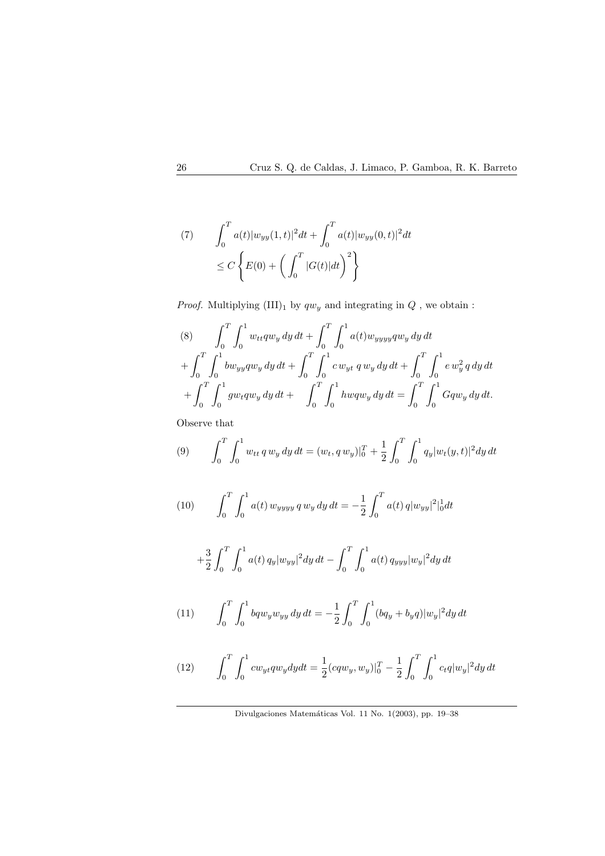(7) 
$$
\int_0^T a(t) |w_{yy}(1,t)|^2 dt + \int_0^T a(t) |w_{yy}(0,t)|^2 dt
$$
  

$$
\leq C \left\{ E(0) + \left( \int_0^T |G(t)| dt \right)^2 \right\}
$$

 ${\it Proof.}$  Multiplying  ${\rm (III)_1}$  by  $qw_y$  and integrating in  $Q$  , we obtain :

(8) 
$$
\int_0^T \int_0^1 w_{tt} q w_y dy dt + \int_0^T \int_0^1 a(t) w_{yyyy} q w_y dy dt + \int_0^T \int_0^1 b w_{yy} q w_y dy dt + \int_0^T \int_0^1 c w_{yt} q w_y dy dt + \int_0^T \int_0^1 e w_y^2 q dy dt + \int_0^T \int_0^1 g w_t q w_y dy dt + \int_0^T \int_0^1 h w q w_y dy dt = \int_0^T \int_0^1 G q w_y dy dt.
$$

Observe that

(9) 
$$
\int_0^T \int_0^1 w_{tt} q w_y dy dt = (w_t, q w_y)|_0^T + \frac{1}{2} \int_0^T \int_0^1 q_y |w_t(y, t)|^2 dy dt
$$

(10) 
$$
\int_0^T \int_0^1 a(t) w_{yyy} q w_y dy dt = -\frac{1}{2} \int_0^T a(t) q |w_{yy}|^2 |_{0}^1 dt
$$

$$
+\frac{3}{2}\int_0^T\int_0^1 a(t) q_y |w_{yy}|^2 dy dt - \int_0^T\int_0^1 a(t) q_{yyy} |w_y|^2 dy dt
$$

(11) 
$$
\int_0^T \int_0^1 bq w_y w_{yy} dy dt = -\frac{1}{2} \int_0^T \int_0^1 (bq_y + b_y q) |w_y|^2 dy dt
$$

(12) 
$$
\int_0^T \int_0^1 c w_{yt} q w_y dy dt = \frac{1}{2} (c q w_y, w_y)|_0^T - \frac{1}{2} \int_0^T \int_0^1 c_t q |w_y|^2 dy dt
$$

Divulgaciones Matemáticas Vol. 11 No. 1(2003), pp. 19–38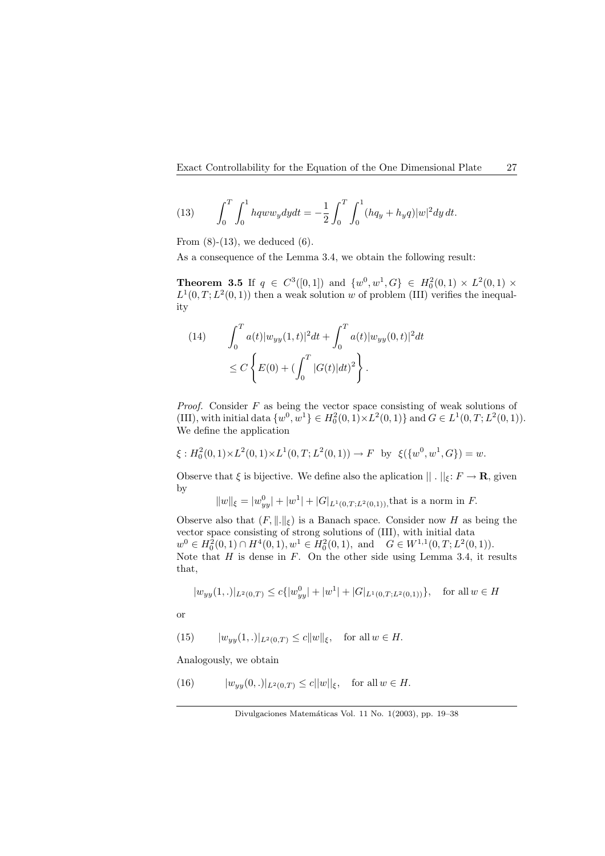(13) 
$$
\int_0^T \int_0^1 hqww_ydydt = -\frac{1}{2} \int_0^T \int_0^1 (hq_y + h_yq)|w|^2dydt.
$$

From  $(8)-(13)$ , we deduced  $(6)$ .

As a consequence of the Lemma 3.4, we obtain the following result:

**Theorem 3.5** If  $q \in C^3([0,1])$  and  $\{w^0, w^1, G\} \in H_0^2(0,1) \times L^2(0,1) \times$  $L^1(0,T; L^2(0,1))$  then a weak solution w of problem (III) verifies the inequality

(14) 
$$
\int_0^T a(t) |w_{yy}(1,t)|^2 dt + \int_0^T a(t) |w_{yy}(0,t)|^2 dt
$$
  

$$
\leq C \left\{ E(0) + (\int_0^T |G(t)| dt)^2 \right\}.
$$

*Proof.* Consider  $F$  as being the vector space consisting of weak solutions of (III), with initial data  $\{w^0, w^1\} \in H_0^2(0, 1) \times L^2(0, 1) \}$  and  $G \in L^1(0, T; L^2(0, 1))$ . We define the application

$$
\xi: H_0^2(0,1) \times L^2(0,1) \times L^1(0,T;L^2(0,1)) \to F \text{ by } \xi(\{w^0,w^1,G\}) = w.
$$

Observe that  $\xi$  is bijective. We define also the aplication  $|| \cdot ||_{\xi} : F \to \mathbf{R}$ , given by

$$
||w||_{\xi} = |w_{yy}^0| + |w^1| + |G|_{L^1(0,T;L^2(0,1))}
$$
, that is a norm in *F*.

Observe also that  $(F, \|.\|_{\xi})$  is a Banach space. Consider now H as being the vector space consisting of strong solutions of (III), with initial data  $w^0 \in H_0^2(0,1) \cap H^4(0,1), w^1 \in H_0^2(0,1), \text{ and } G \in W^{1,1}(0,T;L^2(0,1)).$ Note that  $H$  is dense in  $F$ . On the other side using Lemma 3.4, it results that,

$$
|w_{yy}(1,.)|_{L^2(0,T)} \le c\{|w_{yy}^0| + |w^1| + |G|_{L^1(0,T;L^2(0,1))}\},
$$
 for all  $w \in H$ 

or

(15) 
$$
|w_{yy}(1,.)|_{L^2(0,T)} \le c ||w||_{\xi}
$$
, for all  $w \in H$ .

Analogously, we obtain

(16) 
$$
|w_{yy}(0,.)|_{L^2(0,T)} \le c||w||_{\xi}
$$
, for all  $w \in H$ .

Divulgaciones Matemáticas Vol. 11 No. 1(2003), pp. 19–38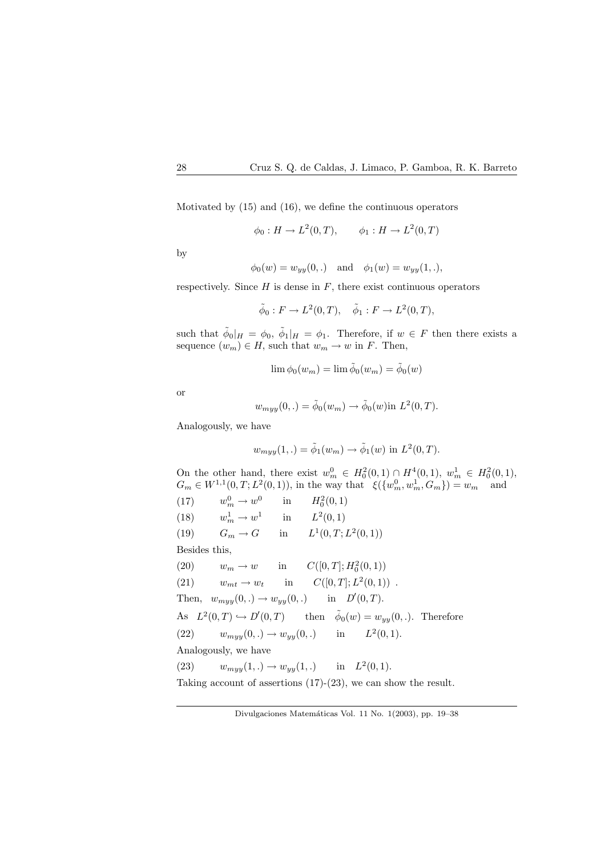Motivated by (15) and (16), we define the continuous operators

$$
\phi_0: H \to L^2(0,T), \qquad \phi_1: H \to L^2(0,T)
$$

by

$$
\phi_0(w) = w_{yy}(0,.)
$$
 and  $\phi_1(w) = w_{yy}(1,.)$ 

respectively. Since  $H$  is dense in  $F$ , there exist continuous operators

$$
\tilde{\phi}_0: F \to L^2(0,T), \quad \tilde{\phi}_1: F \to L^2(0,T),
$$

such that  $\tilde{\phi}_0|_H = \phi_0$ ,  $\tilde{\phi}_1|_H = \phi_1$ . Therefore, if  $w \in F$  then there exists a sequence  $(w_m) \in H$ , such that  $w_m \to w$  in F. Then,

$$
\lim \phi_0(w_m) = \lim \tilde{\phi}_0(w_m) = \tilde{\phi}_0(w)
$$

or

$$
w_{myy}(0,.) = \tilde{\phi}_0(w_m) \rightarrow \tilde{\phi}_0(w) \text{in } L^2(0,T).
$$

Analogously, we have

$$
w_{myy}(1,.) = \tilde{\phi}_1(w_m) \rightarrow \tilde{\phi}_1(w) \text{ in } L^2(0,T).
$$

On the other hand, there exist  $w_m^0 \in H_0^2(0,1) \cap H^4(0,1)$ ,  $w_m^1 \in H_0^2(0,1)$ ,  $G_m \in W^{1,1}(0,T; L^2(0,1)),$  in the way that  $\xi({w_m^0, w_m^1, G_m}) = w_m$  and  $(17)$  $\frac{0}{m} \to w^0$ in  $H_0^2(0,1)$  $(18)$  $\frac{1}{m} \to w^1$ in  $L^2(0,1)$ (19)  $G_m \to G$  in  $^{1}(0,T;L^{2}(0,1))$ Besides this, (20)  $w_m \to w$  in  $C([0,T]; H_0^2(0,1))$ (21)  $w_{mt} \rightarrow w_t$  in  $2(0,1)$ . Then,  $w_{myy}(0,.) \rightarrow w_{yy}(0,.)$  $'(0,T)$ . As  $L^2(0,T) \hookrightarrow D'(0,T)$  then  $\tilde{\phi}_0(w) = w_{yy}(0,.)$ . Therefore (22)  $w_{m\gamma}(0,.) \to w_{\gamma}(0,.)$  in  $2(0,1)$ . Analogously, we have (23)  $w_{myy}(1,.) \to w_{yy}(1,.)$  in  $L^2(0,1)$ . Taking account of assertions (17)-(23), we can show the result.

Divulgaciones Matemáticas Vol. 11 No. 1(2003), pp. 19–38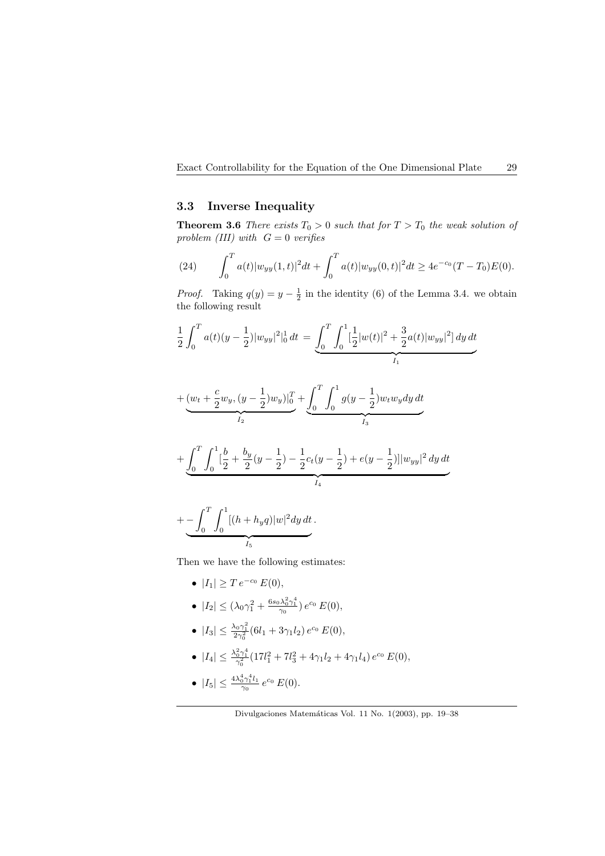### 3.3 Inverse Inequality

**Theorem 3.6** There exists  $T_0 > 0$  such that for  $T > T_0$  the weak solution of problem (III) with  $G = 0$  verifies

(24) 
$$
\int_0^T a(t) |w_{yy}(1,t)|^2 dt + \int_0^T a(t) |w_{yy}(0,t)|^2 dt \ge 4e^{-c_0}(T-T_0)E(0).
$$

*Proof.* Taking  $q(y) = y - \frac{1}{2}$  in the identity (6) of the Lemma 3.4. we obtain the following result

$$
\frac{1}{2}\int_0^T a(t)(y-\frac{1}{2})|w_{yy}|^2|_0^1\,dt\,=\underbrace{\int_0^T\int_0^1[\frac{1}{2}|w(t)|^2+\frac{3}{2}a(t)|w_{yy}|^2]}\frac{dy}{dt}_{I_1}\,dt
$$

$$
+\underbrace{(w_t+\frac{c}{2}w_y,(y-\frac{1}{2})w_y)|_0^T}_{I_2}+\underbrace{\int_0^T\int_0^1g(y-\frac{1}{2})w_tw_ydy\,dt}_{I_3}
$$

$$
+\underbrace{\int_0^T\int_0^1} \big[\frac{b}{2}+\frac{b_y}{2}(y-\frac{1}{2})-\frac{1}{2}c_t(y-\frac{1}{2}) +e(y-\frac{1}{2})]\big]w_{yy}\big|^2\,dy\,dt}_{I_4}
$$

$$
+\underbrace{-\int_0^T\int_0^1[(h+h_yq)|w|^2dy\,dt}_{I_5}.
$$

Then we have the following estimates:

- $|I_1| \geq T e^{-c_0} E(0),$
- $|I_2| \le (\lambda_0 \gamma_1^2 + \frac{6s_0 \lambda_0^2 \gamma_1^4}{\gamma_0}) e^{c_0} E(0),$

• 
$$
|I_3| \leq \frac{\lambda_0 \gamma_1^2}{2\gamma_0^2} (6l_1 + 3\gamma_1 l_2) e^{c_0} E(0),
$$

•  $|I_4| \leq \frac{\lambda_0^2 \gamma_1^4}{\gamma_0^2} (17l_1^2 + 7l_3^2 + 4\gamma_1 l_2 + 4\gamma_1 l_4) e^{c_0} E(0),$ 

• 
$$
|I_5| \leq \frac{4\lambda_0^4 \gamma_1^4 l_1}{\gamma_0} e^{c_0} E(0).
$$

Divulgaciones Matemáticas Vol. 11 No. 1(2003), pp. 19–38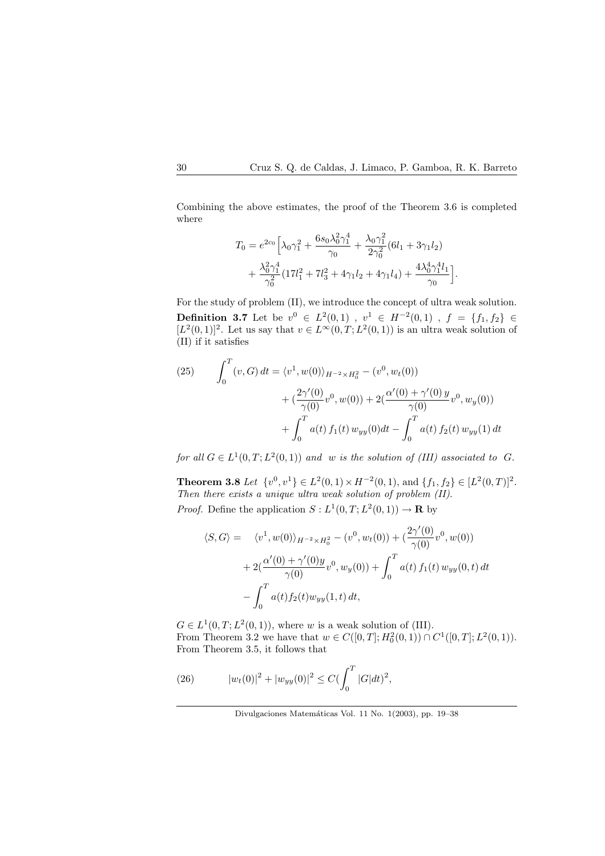Combining the above estimates, the proof of the Theorem 3.6 is completed where

$$
T_0 = e^{2c_0} \left[ \lambda_0 \gamma_1^2 + \frac{6s_0 \lambda_0^2 \gamma_1^4}{\gamma_0} + \frac{\lambda_0 \gamma_1^2}{2\gamma_0^2} (6l_1 + 3\gamma_1 l_2) + \frac{\lambda_0^2 \gamma_1^4}{\gamma_0^2} (17l_1^2 + 7l_3^2 + 4\gamma_1 l_2 + 4\gamma_1 l_4) + \frac{4\lambda_0^4 \gamma_1^4 l_1}{\gamma_0} \right].
$$

For the study of problem (II), we introduce the concept of ultra weak solution. **Definition 3.7** Let be  $v^0 \in L^2(0,1)$  ,  $v^1 \in H^{-2}(0,1)$  ,  $f = \{f_1, f_2\} \in$  $[L^2(0,1)]^2$ . Let us say that  $v \in L^\infty(0,T; L^2(0,1))$  is an ultra weak solution of (II) if it satisfies

(25) 
$$
\int_0^T (v, G) dt = \langle v^1, w(0) \rangle_{H^{-2} \times H_0^2} - (v^0, w_t(0)) + \frac{2\gamma'(0)}{\gamma(0)} v^0, w(0) + 2(\frac{\alpha'(0) + \gamma'(0) y}{\gamma(0)} v^0, w_y(0)) + \int_0^T a(t) f_1(t) w_{yy}(0) dt - \int_0^T a(t) f_2(t) w_{yy}(1) dt
$$

for all  $G \in L^1(0,T; L^2(0,1))$  and w is the solution of (III) associated to G.

**Theorem 3.8** Let  $\{v^0, v^1\} \in L^2(0,1) \times H^{-2}(0,1)$ , and  $\{f_1, f_2\} \in [L^2(0,T)]^2$ . Then there exists a unique ultra weak solution of problem (II). *Proof.* Define the application  $S: L^1(0,T; L^2(0,1)) \to \mathbf{R}$  by

$$
\langle S, G \rangle = \langle v^1, w(0) \rangle_{H^{-2} \times H_0^2} - (v^0, w_t(0)) + \left( \frac{2\gamma'(0)}{\gamma(0)} v^0, w(0) \right) + 2\left( \frac{\alpha'(0) + \gamma'(0)y}{\gamma(0)} v^0, w_y(0) \right) + \int_0^T a(t) f_1(t) w_{yy}(0, t) dt - \int_0^T a(t) f_2(t) w_{yy}(1, t) dt,
$$

 $G \in L^1(0,T; L^2(0,1)),$  where w is a weak solution of (III). From Theorem 3.2 we have that  $w \in C([0, T]; H_0^2(0, 1)) \cap C^1([0, T]; L^2(0, 1)).$ From Theorem 3.5, it follows that

(26) 
$$
|w_t(0)|^2 + |w_{yy}(0)|^2 \le C(\int_0^T |G|dt)^2,
$$

Divulgaciones Matemáticas Vol. 11 No. 1(2003), pp. 19–38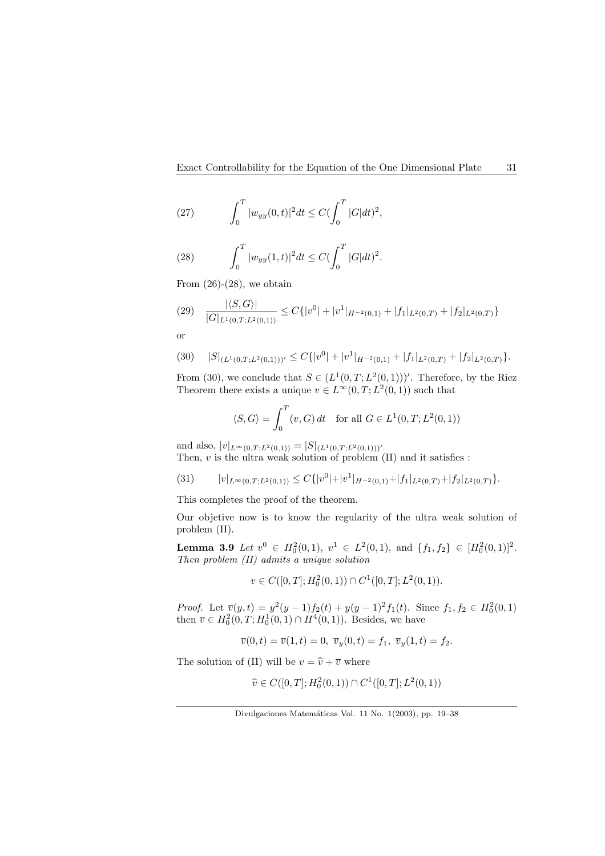(27) 
$$
\int_0^T |w_{yy}(0,t)|^2 dt \leq C \left(\int_0^T |G| dt\right)^2,
$$

(28) 
$$
\int_0^T |w_{yy}(1,t)|^2 dt \leq C \left(\int_0^T |G| dt\right)^2.
$$

From  $(26)-(28)$ , we obtain

$$
(29) \quad \frac{|\langle S, G \rangle|}{|G|_{L^1(0,T;L^2(0,1))}} \le C\{|v^0| + |v^1|_{H^{-2}(0,1)} + |f_1|_{L^2(0,T)} + |f_2|_{L^2(0,T)}\}
$$

or

$$
(30) \quad |S|_{(L^1(0,T;L^2(0,1)))'} \leq C\{|v^0|+|v^1|_{H^{-2}(0,1)}+|f_1|_{L^2(0,T)}+|f_2|_{L^2(0,T)}\}.
$$

From (30), we conclude that  $S \in (L^1(0,T;L^2(0,1)))'$ . Therefore, by the Riez Theorem there exists a unique  $v \in L^{\infty}(0,T; L^2(0,1))$  such that

$$
\langle S, G \rangle = \int_0^T (v, G) dt \quad \text{for all } G \in L^1(0, T; L^2(0, 1))
$$

and also,  $|v|_{L^{\infty}(0,T;L^2(0,1))} = |S|_{(L^1(0,T;L^2(0,1)))'}$ . Then,  $v$  is the ultra weak solution of problem  $(II)$  and it satisfies :

$$
(31) \t|v|_{L^{\infty}(0,T;L^{2}(0,1))} \leq C\{|v^{0}|+|v^{1}|_{H^{-2}(0,1)}+|f_{1}|_{L^{2}(0,T)}+|f_{2}|_{L^{2}(0,T)}\}.
$$

This completes the proof of the theorem.

Our objetive now is to know the regularity of the ultra weak solution of problem (II).

**Lemma 3.9** Let  $v^0 \in H_0^2(0,1)$ ,  $v^1 \in L^2(0,1)$ , and  $\{f_1, f_2\} \in [H_0^2(0,1)]^2$ . Then problem (II) admits a unique solution

$$
v \in C([0, T]; H_0^2(0, 1)) \cap C^1([0, T]; L^2(0, 1)).
$$

*Proof.* Let  $\overline{v}(y,t) = y^2(y-1)f_2(t) + y(y-1)^2f_1(t)$ . Since  $f_1, f_2 \in H_0^2(0,1)$ then  $\bar{v} \in H_0^2(0,T; H_0^1(0,1) \cap H^4(0,1))$ . Besides, we have

$$
\overline{v}(0,t)=\overline{v}(1,t)=0, \ \overline{v}_y(0,t)=f_1, \ \overline{v}_y(1,t)=f_2.
$$

The solution of (II) will be  $v = \hat{v} + \overline{v}$  where

$$
\hat{v} \in C([0, T]; H_0^2(0, 1)) \cap C^1([0, T]; L^2(0, 1))
$$

Divulgaciones Matemáticas Vol. 11 No. 1(2003), pp. 19–38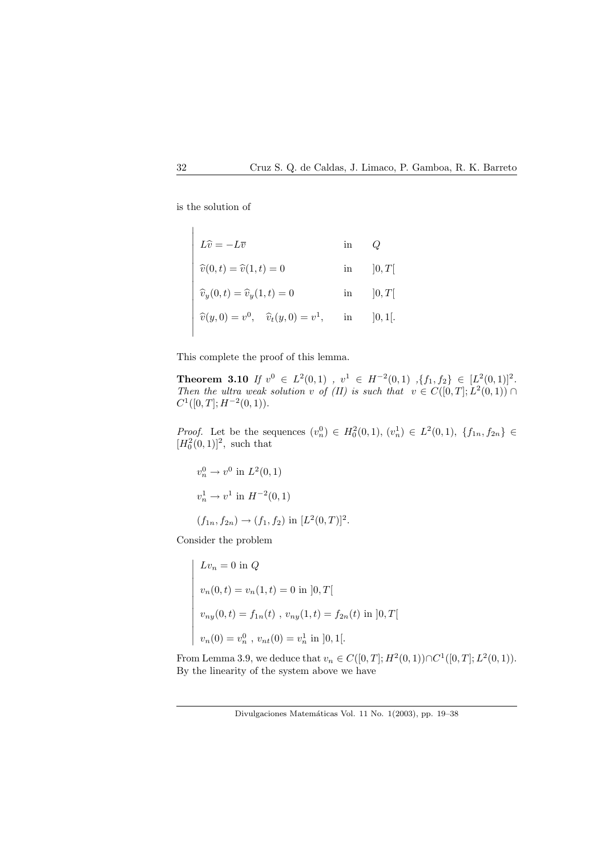

is the solution of

 $\overline{a}$  $\begin{array}{c} \hline \end{array}$  $\overline{\phantom{a}}$  $\overline{\phantom{a}}$  $\overline{\phantom{a}}$  $\overline{\phantom{a}}$  $\overline{\phantom{a}}$  $\overline{\phantom{a}}$  $\overline{\phantom{a}}$  $\overline{\phantom{a}}$  $\overline{1}$  $\overline{\phantom{a}}$  $\overline{\phantom{a}}$  $\overline{\phantom{a}}$  $\overline{\phantom{a}}$  $\overline{\phantom{a}}$  $\overline{\phantom{a}}$  $\overline{\phantom{a}}$ 

$$
L\hat{v} = -L\overline{v} \qquad \text{in} \qquad Q
$$
  

$$
\hat{v}(0,t) = \hat{v}(1,t) = 0 \qquad \text{in} \qquad ]0,T[
$$
  

$$
\hat{v}_y(0,t) = \hat{v}_y(1,t) = 0 \qquad \text{in} \qquad ]0,T[
$$
  

$$
\hat{v}(y,0) = v^0, \quad \hat{v}_t(y,0) = v^1, \qquad \text{in} \qquad ]0,1[.
$$

This complete the proof of this lemma.

Theorem 3.10 If  $v^0 \in L^2(0,1)$ ,  $v^1 \in H^{-2}(0,1)$ ,  $\{f_1, f_2\} \in [L^2(0,1)]^2$ . Then the ultra weak solution v of  $(II)$  is such that  $v \in C([0,T]; L^2(0,1))$  $C^1([0,T];H^{-2}(0,1)).$ 

*Proof.* Let be the sequences  $(v_n^0) \in H_0^2(0,1), (v_n^1) \in L^2(0,1), \{f_{1n}, f_{2n}\} \in$  $[H_0^2(0, 1)]^2$ , such that

$$
v_n^0 \to v^0 \text{ in } L^2(0, 1)
$$
  

$$
v_n^1 \to v^1 \text{ in } H^{-2}(0, 1)
$$
  

$$
(f_{1n}, f_{2n}) \to (f_1, f_2) \text{ in } [L^2(0, T)]^2.
$$

Consider the problem

$$
Lv_n = 0 \text{ in } Q
$$
  
\n
$$
v_n(0,t) = v_n(1,t) = 0 \text{ in } ]0,T[
$$
  
\n
$$
v_{ny}(0,t) = f_{1n}(t), v_{ny}(1,t) = f_{2n}(t) \text{ in } ]0,T[
$$
  
\n
$$
v_n(0) = v_n^0, v_{nt}(0) = v_n^1 \text{ in } ]0,1[.
$$

From Lemma 3.9, we deduce that  $v_n \in C([0,T]; H^2(0,1)) \cap C^1([0,T]; L^2(0,1)).$ By the linearity of the system above we have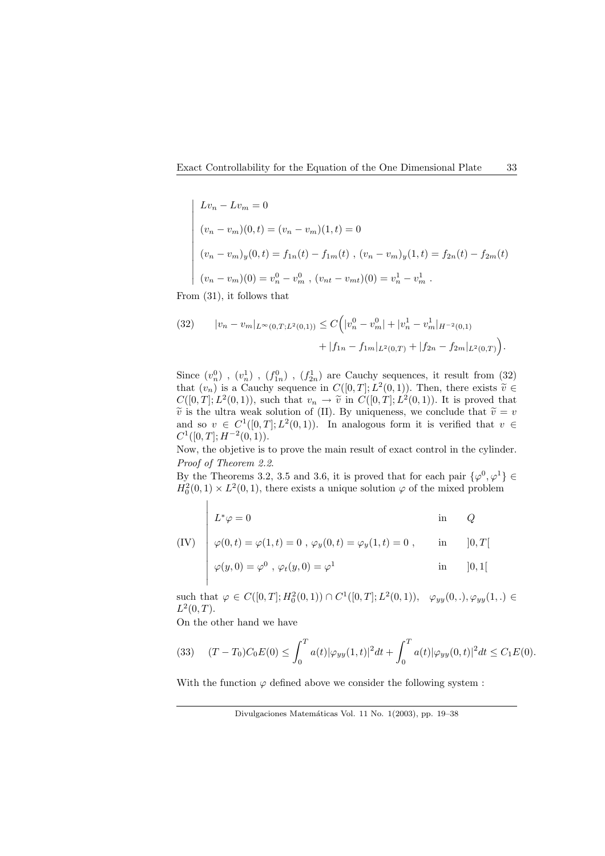$$
Lv_n - Lv_m = 0
$$
  
\n
$$
(v_n - v_m)(0, t) = (v_n - v_m)(1, t) = 0
$$
  
\n
$$
(v_n - v_m)_y(0, t) = f_{1n}(t) - f_{1m}(t), (v_n - v_m)_y(1, t) = f_{2n}(t) - f_{2m}(t)
$$
  
\n
$$
(v_n - v_m)(0) = v_n^0 - v_m^0, (v_{nt} - v_{mt})(0) = v_n^1 - v_m^1.
$$

From (31), it follows that

¯  $\begin{array}{c} \hline \end{array}$  $\overline{\phantom{a}}$  $\overline{\phantom{a}}$  $\overline{\phantom{a}}$  $\overline{1}$  $\overline{\phantom{a}}$  $\overline{\phantom{a}}$  $\overline{\phantom{a}}$  $\overline{\phantom{a}}$  $\overline{\phantom{a}}$  $\overline{\phantom{a}}$  $\overline{\phantom{a}}$  $\overline{\phantom{a}}$ 

(32) 
$$
|v_n - v_m|_{L^{\infty}(0,T;L^2(0,1))} \leq C \Big( |v_n^0 - v_m^0| + |v_n^1 - v_m^1|_{H^{-2}(0,1)} + |f_{1n} - f_{1m}|_{L^2(0,T)} + |f_{2n} - f_{2m}|_{L^2(0,T)} \Big).
$$

Since  $(v_n^0)$ ,  $(v_n^1)$ ,  $(f_{1n}^0)$ ,  $(f_{2n}^1)$  are Cauchy sequences, it result from  $(32)$ that  $(v_n)$  is a Cauchy sequence in  $C([0,T]; L^2(0,1))$ . Then, there exists  $\tilde{v} \in$  $C([0,T];L^2(0,1)),$  such that  $v_n \to \tilde{v}$  in  $C([0,T];L^2(0,1)).$  It is proved that  $\tilde{v}$  is the ultra weak solution of (II). By uniqueness, we conclude that  $\tilde{v} = v$ and so  $v \in C^1([0,T]; L^2(0,1))$ . In analogous form it is verified that  $v \in$  $C^1([0,T];H^{-2}(0,1)).$ 

Now, the objetive is to prove the main result of exact control in the cylinder. Proof of Theorem 2.2.

By the Theorems 3.2, 3.5 and 3.6, it is proved that for each pair  $\{\varphi^0, \varphi^1\} \in$  $H_0^2(0,1) \times L^2(0,1)$ , there exists a unique solution  $\varphi$  of the mixed problem

$$
L^*\varphi = 0
$$
 in  $Q$ 

(IV) 
$$
\phi(0, t) = \varphi(1, t) = 0
$$
,  $\varphi_y(0, t) = \varphi_y(1, t) = 0$ , in  $[0, T]$ 

$$
\varphi(y,0) = \varphi^0 , \varphi_t(y,0) = \varphi^1 \qquad \text{in} \qquad ]0,1[
$$

such that  $\varphi \in C([0,T]; H_0^2(0,1)) \cap C^1([0,T]; L^2(0,1)), \varphi_{yy}(0,.), \varphi_{yy}(1,.) \in$  $L^2(0,T)$ .

On the other hand we have

 $\overline{\phantom{a}}$  $\overline{\phantom{a}}$  $\overline{\phantom{a}}$ 

(33) 
$$
(T - T_0)C_0E(0) \le \int_0^T a(t)|\varphi_{yy}(1,t)|^2 dt + \int_0^T a(t)|\varphi_{yy}(0,t)|^2 dt \le C_1E(0).
$$

With the function  $\varphi$  defined above we consider the following system :

Divulgaciones Matemáticas Vol. 11 No. 1(2003), pp. 19-38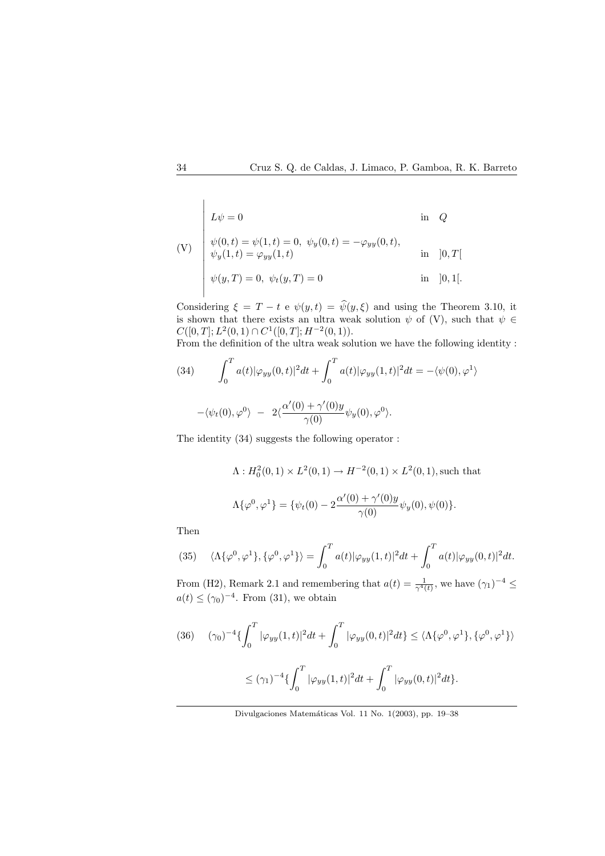$$
\begin{aligned}\n\text{(V)} \quad & \begin{cases}\nL\psi = 0 & \text{in } Q \\
\psi(0, t) = \psi(1, t) = 0, \ \psi_y(0, t) = -\varphi_{yy}(0, t), \\
\psi_y(1, t) = \varphi_{yy}(1, t) & \text{in } [0, T[ \\
\psi(y, T) = 0, \ \psi_t(y, T) = 0 & \text{in } [0, 1[\n\end{cases}\n\end{aligned}
$$

Considering  $\xi = T - t e \psi(y, t) = \hat{\psi}(y, \xi)$  and using the Theorem 3.10, it is shown that there exists an ultra weak solution  $\psi$  of (V), such that  $\psi \in$  $C([0, T]; L^2(0, 1) \cap C^1([0, T]; H^{-2}(0, 1)).$ 

From the definition of the ultra weak solution we have the following identity :

(34) 
$$
\int_0^T a(t) |\varphi_{yy}(0, t)|^2 dt + \int_0^T a(t) |\varphi_{yy}(1, t)|^2 dt = -\langle \psi(0), \varphi^1 \rangle
$$

$$
-\langle \psi_t(0),\varphi^0 \rangle - 2 \langle \frac{\alpha (0) + \gamma (0) y}{\gamma(0)} \psi_y(0),\varphi^0 \rangle.
$$

The identity (34) suggests the following operator :

$$
\Lambda: H_0^2(0,1) \times L^2(0,1) \to H^{-2}(0,1) \times L^2(0,1),
$$
 such that  

$$
\Lambda\{\varphi^0, \varphi^1\} = \{\psi_t(0) - 2\frac{\alpha'(0) + \gamma'(0)y}{\gamma(0)}\psi_y(0), \psi(0)\}.
$$

Then

(35) 
$$
\langle \Lambda \{\varphi^0, \varphi^1\}, \{\varphi^0, \varphi^1\} \rangle = \int_0^T a(t) |\varphi_{yy}(1, t)|^2 dt + \int_0^T a(t) |\varphi_{yy}(0, t)|^2 dt.
$$

From (H2), Remark 2.1 and remembering that  $a(t) = \frac{1}{\gamma^4(t)}$ , we have  $(\gamma_1)^{-4} \le$  $a(t) \leq (\gamma_0)^{-4}$ . From (31), we obtain

$$
(36) \quad (\gamma_0)^{-4} \{ \int_0^T |\varphi_{yy}(1,t)|^2 dt + \int_0^T |\varphi_{yy}(0,t)|^2 dt \} \le \langle \Lambda \{\varphi^0, \varphi^1\}, \{\varphi^0, \varphi^1\} \rangle
$$
  

$$
\le (\gamma_1)^{-4} \{ \int_0^T |\varphi_{yy}(1,t)|^2 dt + \int_0^T |\varphi_{yy}(0,t)|^2 dt \}.
$$

Divulgaciones Matemáticas Vol. 11 No. 1(2003), pp. 19-38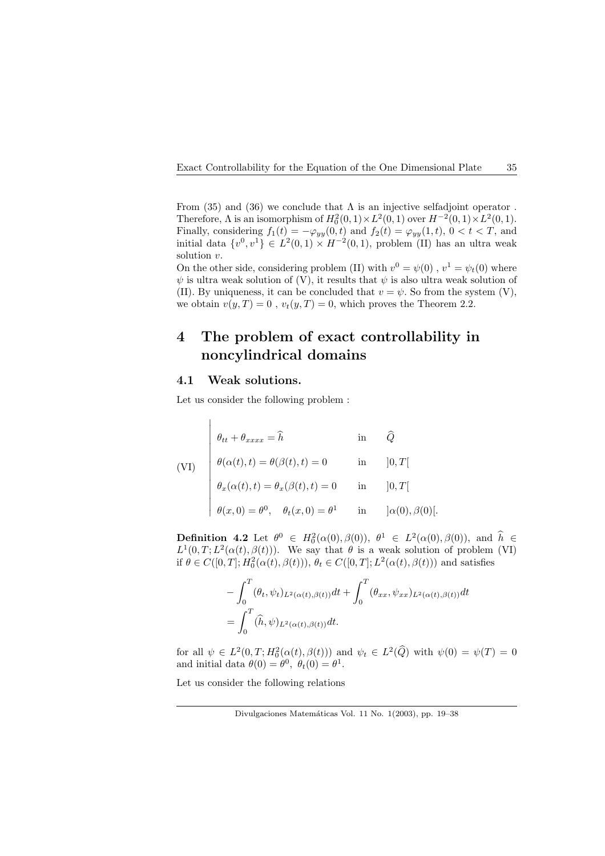From (35) and (36) we conclude that  $\Lambda$  is an injective selfadjoint operator. Therefore,  $\Lambda$  is an isomorphism of  $H_0^2(0,1) \times L^2(0,1)$  over  $H^{-2}(0,1) \times L^2(0,1)$ . Finally, considering  $f_1(t) = -\varphi_{yy}(0, t)$  and  $f_2(t) = \varphi_{yy}(1, t)$ ,  $0 < t < T$ , and initial data  $\{v^0, v^1\} \in L^2(0,1) \times H^{-2}(0,1)$ , problem (II) has an ultra weak solution v.

On the other side, considering problem (II) with  $v^0 = \psi(0)$ ,  $v^1 = \psi_t(0)$  where  $\psi$  is ultra weak solution of (V), it results that  $\psi$  is also ultra weak solution of (II). By uniqueness, it can be concluded that  $v = \psi$ . So from the system (V), we obtain  $v(y, T) = 0$ ,  $v_t(y, T) = 0$ , which proves the Theorem 2.2.

## 4 The problem of exact controllability in noncylindrical domains

## 4.1 Weak solutions.

Let us consider the following problem :

(VI)  
\n
$$
\theta_{tt} + \theta_{xxxx} = \hat{h} \qquad \text{in} \qquad \hat{Q}
$$
\n
$$
\theta(\alpha(t), t) = \theta(\beta(t), t) = 0 \qquad \text{in} \qquad ]0, T[
$$
\n
$$
\theta_x(\alpha(t), t) = \theta_x(\beta(t), t) = 0 \qquad \text{in} \qquad ]0, T[
$$
\n
$$
\theta(x, 0) = \theta^0, \quad \theta_t(x, 0) = \theta^1 \qquad \text{in} \qquad ]\alpha(0), \beta(0)[.
$$

**Definition 4.2** Let  $\theta^0 \in H_0^2(\alpha(0), \beta(0)), \ \theta^1 \in L^2(\alpha(0), \beta(0)),$  and  $\hat{h} \in$  $L^1(0,T;L^2(\alpha(t),\beta(t)))$ . We say that  $\theta$  is a weak solution of problem (VI) if  $\theta \in C([0,T]; H_0^2(\alpha(t), \beta(t))), \theta_t \in C([0,T]; L^2(\alpha(t), \beta(t)))$  and satisfies

$$
-\int_0^T (\theta_t, \psi_t)_{L^2(\alpha(t), \beta(t))} dt + \int_0^T (\theta_{xx}, \psi_{xx})_{L^2(\alpha(t), \beta(t))} dt
$$
  
= 
$$
\int_0^T (\hat{h}, \psi)_{L^2(\alpha(t), \beta(t))} dt.
$$

for all  $\psi \in L^2(0,T;H_0^2(\alpha(t),\beta(t)))$  and  $\psi_t \in L^2(\widehat{Q})$  with  $\psi(0) = \psi(T) = 0$ and initial data  $\theta(0) = \theta^0$ ,  $\theta_t(0) = \theta^1$ .

Let us consider the following relations

Divulgaciones Matemáticas Vol. 11 No. 1(2003), pp. 19–38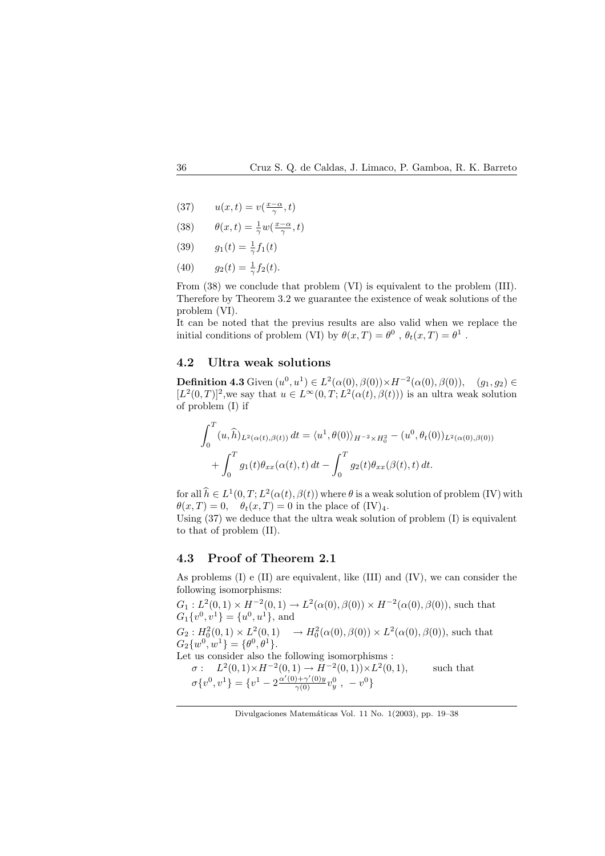(37)  $u(x,t) = v(\frac{x-\alpha}{\gamma},t)$ 

(38) 
$$
\theta(x,t) = \frac{1}{\gamma} w(\frac{x-\alpha}{\gamma},t)
$$

(39) 
$$
g_1(t) = \frac{1}{\gamma} f_1(t)
$$

(40) 
$$
g_2(t) = \frac{1}{\gamma} f_2(t).
$$

From  $(38)$  we conclude that problem  $(VI)$  is equivalent to the problem  $(III)$ . Therefore by Theorem 3.2 we guarantee the existence of weak solutions of the problem (VI).

It can be noted that the previus results are also valid when we replace the initial conditions of problem (VI) by  $\theta(x,T) = \theta^0$ ,  $\theta_t(x,T) = \theta^1$ .

## 4.2 Ultra weak solutions

**Definition 4.3** Given  $(u^0, u^1) \in L^2(\alpha(0), \beta(0)) \times H^{-2}(\alpha(0), \beta(0)), \quad (g_1, g_2) \in$  $[L^2(0,T)]^2$ , we say that  $u \in L^\infty(0,T; L^2(\alpha(t),\beta(t)))$  is an ultra weak solution of problem (I) if

$$
\int_0^T (u, \hat{h})_{L^2(\alpha(t), \beta(t))} dt = \langle u^1, \theta(0) \rangle_{H^{-2} \times H_0^2} - (u^0, \theta_t(0))_{L^2(\alpha(0), \beta(0))}
$$

$$
+ \int_0^T g_1(t) \theta_{xx}(\alpha(t), t) dt - \int_0^T g_2(t) \theta_{xx}(\beta(t), t) dt.
$$

for all  $\hat{h} \in L^1(0,T; L^2(\alpha(t), \beta(t))$  where  $\theta$  is a weak solution of problem (IV) with  $\theta(x,T) = 0$ ,  $\theta_t(x,T) = 0$  in the place of  $(IV)_4$ .

Using (37) we deduce that the ultra weak solution of problem (I) is equivalent to that of problem (II).

### 4.3 Proof of Theorem 2.1

As problems (I) e (II) are equivalent, like (III) and (IV), we can consider the following isomorphisms:

 $G_1: L^2(0,1) \times H^{-2}(0,1) \to L^2(\alpha(0),\beta(0)) \times H^{-2}(\alpha(0),\beta(0))$ , such that  $G_1\{v^0, v^1\} = \{u^0, u^1\}$ , and  $G_2: H_0^2(0,1) \times L^2(0,1) \longrightarrow H_0^2(\alpha(0), \beta(0)) \times L^2(\alpha(0), \beta(0)),$  such that  $G_2\{w^0, w^1\} = \{\theta^0, \theta^1\}.$ Let us consider also the following isomorphisms :  $\sigma: L^2(0,1) \times H^{-2}(0,1) \to H^{-2}(0,1) \times L^2$ such that  $\sigma\{v^0, v^1\} = \{v^1 - 2\frac{\alpha'(0) + \gamma'(0)y}{\gamma(0)}v_y^0, -v^0\}$ 

Divulgaciones Matemáticas Vol. 11 No. 1(2003), pp. 19-38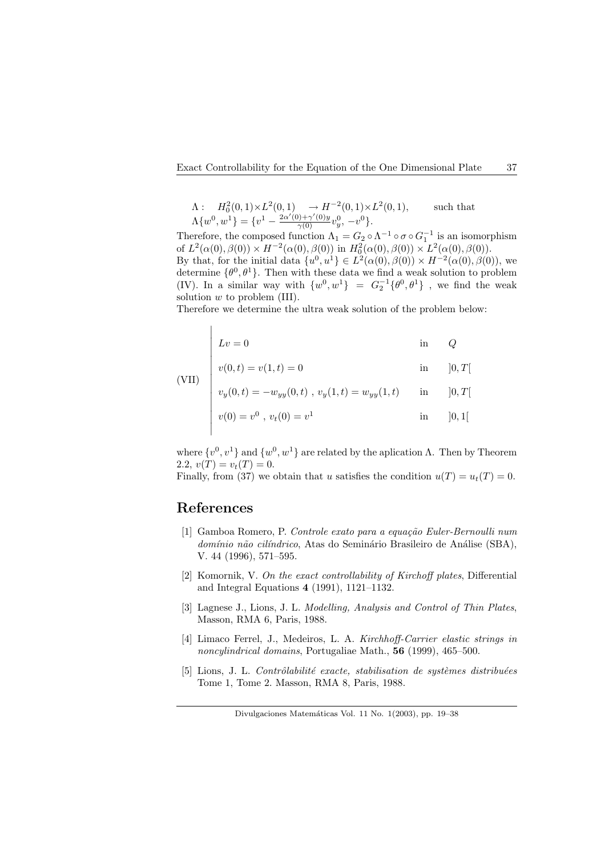$$
\Lambda: H_0^2(0,1) \times L^2(0,1) \to H^{-2}(0,1) \times L^2(0,1),
$$
 such that  

$$
\Lambda\{w^0, w^1\} = \{v^1 - \frac{2\alpha'(0) + \gamma'(0)y}{\gamma(0)}v_y^0, -v^0\}.
$$

Therefore, the composed function  $\Lambda_1 = G_2 \circ \Lambda^{-1} \circ \sigma \circ G_1^{-1}$  is an isomorphism of  $L^2(\alpha(0), \beta(0)) \times H^{-2}(\alpha(0), \beta(0))$  in  $H_0^2(\alpha(0), \beta(0)) \times L^2(\alpha(0), \beta(0))$ . By that, for the initial data  $\{u^0, u^1\} \in L^2(\alpha(0), \beta(0)) \times H^{-2}(\alpha(0), \beta(0))$ , we determine  $\{\theta^0, \theta^1\}$ . Then with these data we find a weak solution to problem (IV). In a similar way with  $\{w^0, w^1\}$  =  $G_2^{-1}\{\theta^0, \theta^1\}$ , we find the weak solution  $w$  to problem (III).

Therefore we determine the ultra weak solution of the problem below:

$$
Lv = 0
$$
 in  $Q$ 

(VII) 
$$
v(0, t) = v(1, t) = 0
$$
 in  $[0, T]$ 

$$
v_y(0,t) = -w_{yy}(0,t) , v_y(1,t) = w_{yy}(1,t) \quad \text{in} \quad [0,T[
$$

$$
v(0) = v0
$$
,  $vt(0) = v1$  in [0, 1]

where  $\{v^0, v^1\}$  and  $\{w^0, w^1\}$  are related by the aplication  $\Lambda$ . Then by Theorem 2.2,  $v(T) = v_t(T) = 0$ .

Finally, from (37) we obtain that u satisfies the condition  $u(T) = u_t(T) = 0$ .

## References

 $\overline{a}$ 

 $\overline{\phantom{a}}$  $\overline{\phantom{a}}$  $\overline{\phantom{a}}$ 

- [1] Gamboa Romero, P. Controle exato para a equação Euler-Bernoulli num domínio não cilíndrico, Atas do Seminário Brasileiro de Análise (SBA), V. 44 (1996), 571–595.
- [2] Komornik, V. On the exact controllability of Kirchoff plates, Differential and Integral Equations 4 (1991), 1121–1132.
- [3] Lagnese J., Lions, J. L. Modelling, Analysis and Control of Thin Plates, Masson, RMA 6, Paris, 1988.
- [4] Limaco Ferrel, J., Medeiros, L. A. Kirchhoff-Carrier elastic strings in noncylindrical domains, Portugaliae Math., 56 (1999), 465–500.
- $[5]$  Lions, J. L. Contrôlabilité exacte, stabilisation de systèmes distribuées Tome 1, Tome 2. Masson, RMA 8, Paris, 1988.

Divulgaciones Matemáticas Vol. 11 No. 1(2003), pp. 19–38